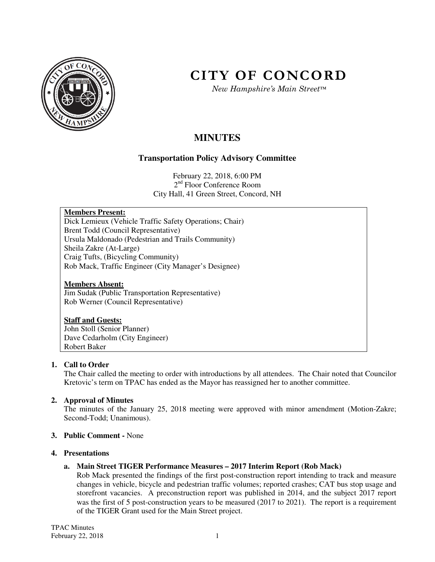

# **CITY OF CONCORD**

*New Hampshire's Main Street™*

# **MINUTES**

# **Transportation Policy Advisory Committee**

February 22, 2018, 6:00 PM 2<sup>nd</sup> Floor Conference Room City Hall, 41 Green Street, Concord, NH

# **Members Present:**

Dick Lemieux (Vehicle Traffic Safety Operations; Chair) Brent Todd (Council Representative) Ursula Maldonado (Pedestrian and Trails Community) Sheila Zakre (At-Large) Craig Tufts, (Bicycling Community) Rob Mack, Traffic Engineer (City Manager's Designee)

#### **Members Absent:**

Jim Sudak (Public Transportation Representative) Rob Werner (Council Representative)

#### **Staff and Guests:**

John Stoll (Senior Planner) Dave Cedarholm (City Engineer) Robert Baker

# **1. Call to Order**

The Chair called the meeting to order with introductions by all attendees. The Chair noted that Councilor Kretovic's term on TPAC has ended as the Mayor has reassigned her to another committee.

# **2. Approval of Minutes**

The minutes of the January 25, 2018 meeting were approved with minor amendment (Motion-Zakre; Second-Todd; Unanimous).

# **3. Public Comment -** None

#### **4. Presentations**

# **a. Main Street TIGER Performance Measures – 2017 Interim Report (Rob Mack)**

Rob Mack presented the findings of the first post-construction report intending to track and measure changes in vehicle, bicycle and pedestrian traffic volumes; reported crashes; CAT bus stop usage and storefront vacancies. A preconstruction report was published in 2014, and the subject 2017 report was the first of 5 post-construction years to be measured (2017 to 2021). The report is a requirement of the TIGER Grant used for the Main Street project.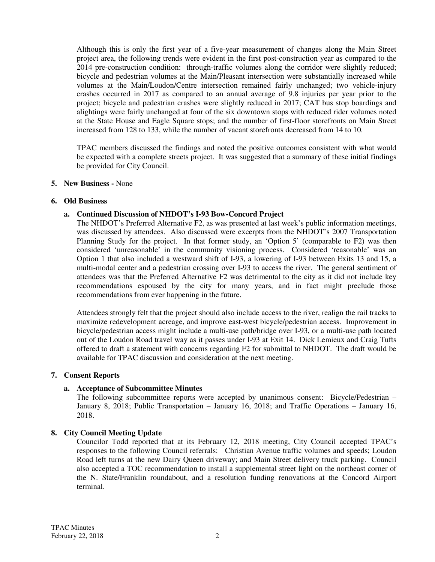Although this is only the first year of a five-year measurement of changes along the Main Street project area, the following trends were evident in the first post-construction year as compared to the 2014 pre-construction condition: through-traffic volumes along the corridor were slightly reduced; bicycle and pedestrian volumes at the Main/Pleasant intersection were substantially increased while volumes at the Main/Loudon/Centre intersection remained fairly unchanged; two vehicle-injury crashes occurred in 2017 as compared to an annual average of 9.8 injuries per year prior to the project; bicycle and pedestrian crashes were slightly reduced in 2017; CAT bus stop boardings and alightings were fairly unchanged at four of the six downtown stops with reduced rider volumes noted at the State House and Eagle Square stops; and the number of first-floor storefronts on Main Street increased from 128 to 133, while the number of vacant storefronts decreased from 14 to 10.

TPAC members discussed the findings and noted the positive outcomes consistent with what would be expected with a complete streets project. It was suggested that a summary of these initial findings be provided for City Council.

#### **5. New Business -** None

#### **6. Old Business**

#### **a. Continued Discussion of NHDOT's I-93 Bow-Concord Project**

The NHDOT's Preferred Alternative F2, as was presented at last week's public information meetings, was discussed by attendees. Also discussed were excerpts from the NHDOT's 2007 Transportation Planning Study for the project. In that former study, an 'Option 5' (comparable to F2) was then considered 'unreasonable' in the community visioning process. Considered 'reasonable' was an Option 1 that also included a westward shift of I-93, a lowering of I-93 between Exits 13 and 15, a multi-modal center and a pedestrian crossing over I-93 to access the river. The general sentiment of attendees was that the Preferred Alternative F2 was detrimental to the city as it did not include key recommendations espoused by the city for many years, and in fact might preclude those recommendations from ever happening in the future.

Attendees strongly felt that the project should also include access to the river, realign the rail tracks to maximize redevelopment acreage, and improve east-west bicycle/pedestrian access. Improvement in bicycle/pedestrian access might include a multi-use path/bridge over I-93, or a multi-use path located out of the Loudon Road travel way as it passes under I-93 at Exit 14. Dick Lemieux and Craig Tufts offered to draft a statement with concerns regarding F2 for submittal to NHDOT. The draft would be available for TPAC discussion and consideration at the next meeting.

#### **7. Consent Reports**

#### **a. Acceptance of Subcommittee Minutes**

The following subcommittee reports were accepted by unanimous consent: Bicycle/Pedestrian – January 8, 2018; Public Transportation – January 16, 2018; and Traffic Operations – January 16, 2018.

#### **8. City Council Meeting Update**

Councilor Todd reported that at its February 12, 2018 meeting, City Council accepted TPAC's responses to the following Council referrals: Christian Avenue traffic volumes and speeds; Loudon Road left turns at the new Dairy Queen driveway; and Main Street delivery truck parking. Council also accepted a TOC recommendation to install a supplemental street light on the northeast corner of the N. State/Franklin roundabout, and a resolution funding renovations at the Concord Airport terminal.